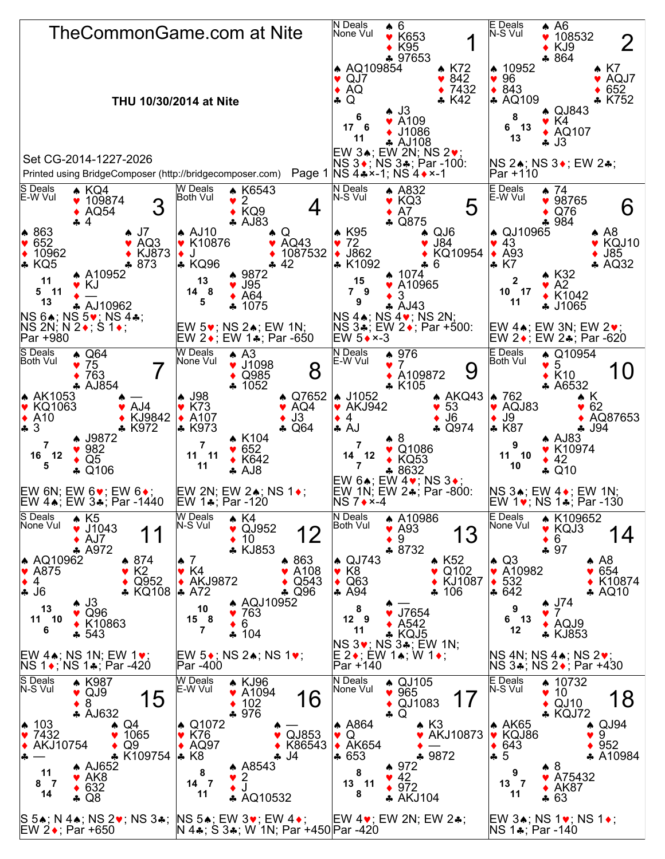